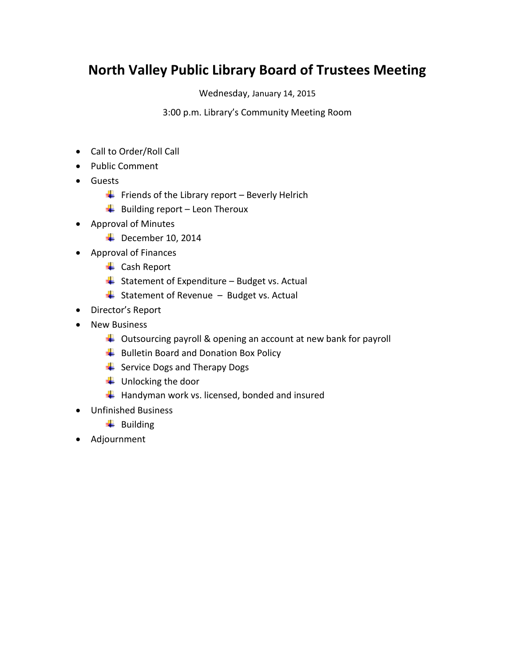## **North Valley Public Library Board of Trustees Meeting**

Wednesday, January 14, 2015

3:00 p.m. Library's Community Meeting Room

- Call to Order/Roll Call
- Public Comment
- Guests
	- Friends of the Library report Beverly Helrich
	- $\overline{\phantom{a}}$  Building report Leon Theroux
- Approval of Minutes
	- $\overline{\phantom{1}}$  December 10, 2014
- Approval of Finances
	- ← Cash Report
	- $\overline{\phantom{a}}$  Statement of Expenditure Budget vs. Actual
	- $\overline{\phantom{a}}$  Statement of Revenue Budget vs. Actual
- Director's Report
- New Business
	- $\downarrow$  Outsourcing payroll & opening an account at new bank for payroll
	- $\overline{\phantom{a}}$  Bulletin Board and Donation Box Policy
	- $\frac{1}{2}$  Service Dogs and Therapy Dogs
	- $\downarrow$  Unlocking the door
	- $\frac{1}{\sqrt{2}}$  Handyman work vs. licensed, bonded and insured
- Unfinished Business
	- $\overline{\phantom{a}}$  Building
- Adjournment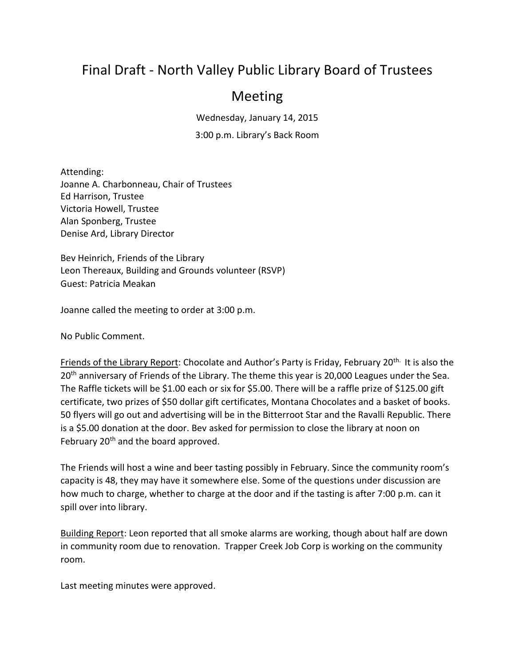## Final Draft - North Valley Public Library Board of Trustees

## Meeting

Wednesday, January 14, 2015

3:00 p.m. Library's Back Room

Attending: Joanne A. Charbonneau, Chair of Trustees Ed Harrison, Trustee Victoria Howell, Trustee Alan Sponberg, Trustee Denise Ard, Library Director

Bev Heinrich, Friends of the Library Leon Thereaux, Building and Grounds volunteer (RSVP) Guest: Patricia Meakan

Joanne called the meeting to order at 3:00 p.m.

No Public Comment.

Friends of the Library Report: Chocolate and Author's Party is Friday, February 20<sup>th.</sup> It is also the 20<sup>th</sup> anniversary of Friends of the Library. The theme this year is 20,000 Leagues under the Sea. The Raffle tickets will be \$1.00 each or six for \$5.00. There will be a raffle prize of \$125.00 gift certificate, two prizes of \$50 dollar gift certificates, Montana Chocolates and a basket of books. 50 flyers will go out and advertising will be in the Bitterroot Star and the Ravalli Republic. There is a \$5.00 donation at the door. Bev asked for permission to close the library at noon on February  $20<sup>th</sup>$  and the board approved.

The Friends will host a wine and beer tasting possibly in February. Since the community room's capacity is 48, they may have it somewhere else. Some of the questions under discussion are how much to charge, whether to charge at the door and if the tasting is after 7:00 p.m. can it spill over into library.

Building Report: Leon reported that all smoke alarms are working, though about half are down in community room due to renovation. Trapper Creek Job Corp is working on the community room.

Last meeting minutes were approved.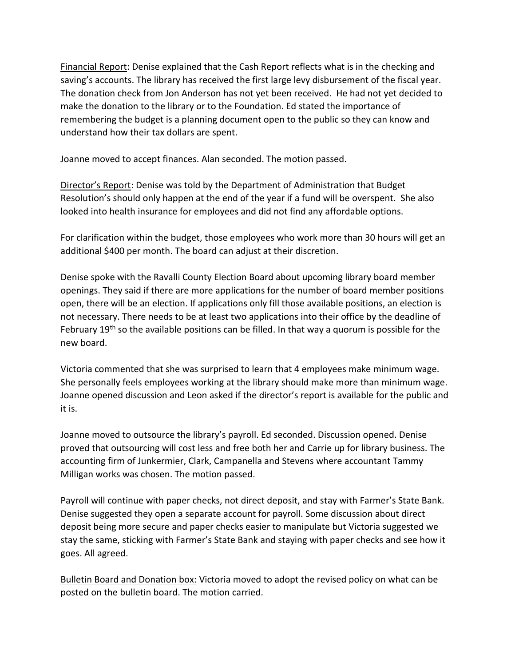Financial Report: Denise explained that the Cash Report reflects what is in the checking and saving's accounts. The library has received the first large levy disbursement of the fiscal year. The donation check from Jon Anderson has not yet been received. He had not yet decided to make the donation to the library or to the Foundation. Ed stated the importance of remembering the budget is a planning document open to the public so they can know and understand how their tax dollars are spent.

Joanne moved to accept finances. Alan seconded. The motion passed.

Director's Report: Denise was told by the Department of Administration that Budget Resolution's should only happen at the end of the year if a fund will be overspent. She also looked into health insurance for employees and did not find any affordable options.

For clarification within the budget, those employees who work more than 30 hours will get an additional \$400 per month. The board can adjust at their discretion.

Denise spoke with the Ravalli County Election Board about upcoming library board member openings. They said if there are more applications for the number of board member positions open, there will be an election. If applications only fill those available positions, an election is not necessary. There needs to be at least two applications into their office by the deadline of February  $19<sup>th</sup>$  so the available positions can be filled. In that way a quorum is possible for the new board.

Victoria commented that she was surprised to learn that 4 employees make minimum wage. She personally feels employees working at the library should make more than minimum wage. Joanne opened discussion and Leon asked if the director's report is available for the public and it is.

Joanne moved to outsource the library's payroll. Ed seconded. Discussion opened. Denise proved that outsourcing will cost less and free both her and Carrie up for library business. The accounting firm of Junkermier, Clark, Campanella and Stevens where accountant Tammy Milligan works was chosen. The motion passed.

Payroll will continue with paper checks, not direct deposit, and stay with Farmer's State Bank. Denise suggested they open a separate account for payroll. Some discussion about direct deposit being more secure and paper checks easier to manipulate but Victoria suggested we stay the same, sticking with Farmer's State Bank and staying with paper checks and see how it goes. All agreed.

Bulletin Board and Donation box: Victoria moved to adopt the revised policy on what can be posted on the bulletin board. The motion carried.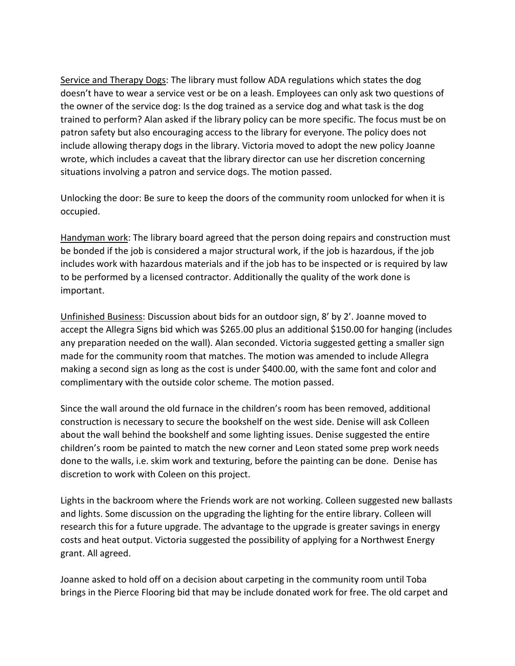Service and Therapy Dogs: The library must follow ADA regulations which states the dog doesn't have to wear a service vest or be on a leash. Employees can only ask two questions of the owner of the service dog: Is the dog trained as a service dog and what task is the dog trained to perform? Alan asked if the library policy can be more specific. The focus must be on patron safety but also encouraging access to the library for everyone. The policy does not include allowing therapy dogs in the library. Victoria moved to adopt the new policy Joanne wrote, which includes a caveat that the library director can use her discretion concerning situations involving a patron and service dogs. The motion passed.

Unlocking the door: Be sure to keep the doors of the community room unlocked for when it is occupied.

Handyman work: The library board agreed that the person doing repairs and construction must be bonded if the job is considered a major structural work, if the job is hazardous, if the job includes work with hazardous materials and if the job has to be inspected or is required by law to be performed by a licensed contractor. Additionally the quality of the work done is important.

Unfinished Business: Discussion about bids for an outdoor sign, 8' by 2'. Joanne moved to accept the Allegra Signs bid which was \$265.00 plus an additional \$150.00 for hanging (includes any preparation needed on the wall). Alan seconded. Victoria suggested getting a smaller sign made for the community room that matches. The motion was amended to include Allegra making a second sign as long as the cost is under \$400.00, with the same font and color and complimentary with the outside color scheme. The motion passed.

Since the wall around the old furnace in the children's room has been removed, additional construction is necessary to secure the bookshelf on the west side. Denise will ask Colleen about the wall behind the bookshelf and some lighting issues. Denise suggested the entire children's room be painted to match the new corner and Leon stated some prep work needs done to the walls, i.e. skim work and texturing, before the painting can be done. Denise has discretion to work with Coleen on this project.

Lights in the backroom where the Friends work are not working. Colleen suggested new ballasts and lights. Some discussion on the upgrading the lighting for the entire library. Colleen will research this for a future upgrade. The advantage to the upgrade is greater savings in energy costs and heat output. Victoria suggested the possibility of applying for a Northwest Energy grant. All agreed.

Joanne asked to hold off on a decision about carpeting in the community room until Toba brings in the Pierce Flooring bid that may be include donated work for free. The old carpet and